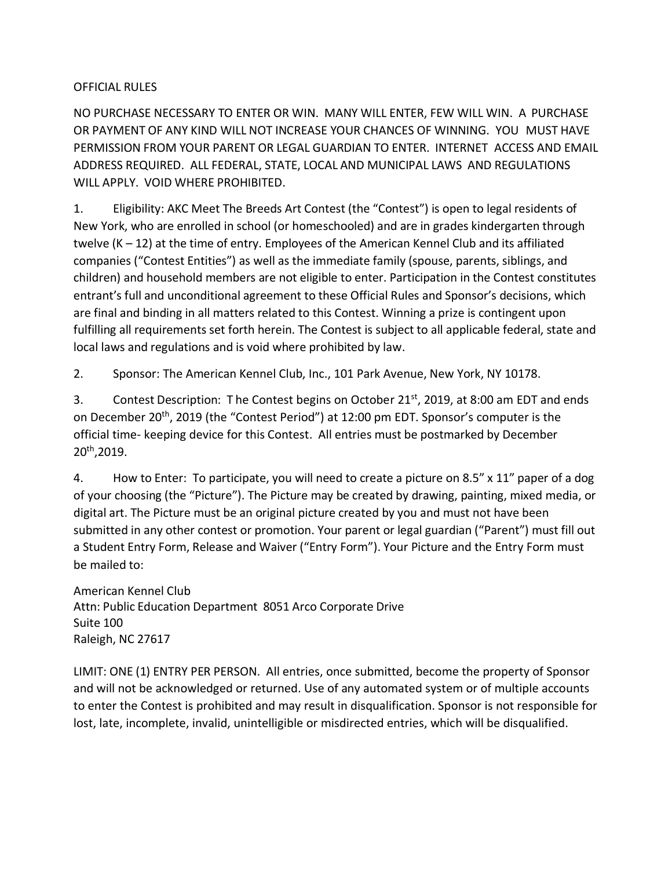## OFFICIAL RULES

NO PURCHASE NECESSARY TO ENTER OR WIN. MANY WILL ENTER, FEW WILL WIN. A PURCHASE OR PAYMENT OF ANY KIND WILL NOT INCREASE YOUR CHANCES OF WINNING. YOU MUST HAVE PERMISSION FROM YOUR PARENT OR LEGAL GUARDIAN TO ENTER. INTERNET ACCESS AND EMAIL ADDRESS REQUIRED. ALL FEDERAL, STATE, LOCAL AND MUNICIPAL LAWS AND REGULATIONS WILL APPLY. VOID WHERE PROHIBITED.

1. Eligibility: AKC Meet The Breeds Art Contest (the "Contest") is open to legal residents of New York, who are enrolled in school (or homeschooled) and are in grades kindergarten through twelve (K – 12) at the time of entry. Employees of the American Kennel Club and its affiliated companies ("Contest Entities") as well as the immediate family (spouse, parents, siblings, and children) and household members are not eligible to enter. Participation in the Contest constitutes entrant's full and unconditional agreement to these Official Rules and Sponsor's decisions, which are final and binding in all matters related to this Contest. Winning a prize is contingent upon fulfilling all requirements set forth herein. The Contest is subject to all applicable federal, state and local laws and regulations and is void where prohibited by law.

2. Sponsor: The American Kennel Club, Inc., 101 Park Avenue, New York, NY 10178.

3. Contest Description: The Contest begins on October 21<sup>st</sup>, 2019, at 8:00 am EDT and ends on December 20<sup>th</sup>, 2019 (the "Contest Period") at 12:00 pm EDT. Sponsor's computer is the official time- keeping device for this Contest. All entries must be postmarked by December 20th,2019.

4. How to Enter: To participate, you will need to create a picture on 8.5" x 11" paper of a dog of your choosing (the "Picture"). The Picture may be created by drawing, painting, mixed media, or digital art. The Picture must be an original picture created by you and must not have been submitted in any other contest or promotion. Your parent or legal guardian ("Parent") must fill out a Student Entry Form, Release and Waiver ("Entry Form"). Your Picture and the Entry Form must be mailed to:

American Kennel Club Attn: Public Education Department 8051 Arco Corporate Drive Suite 100 Raleigh, NC 27617

LIMIT: ONE (1) ENTRY PER PERSON. All entries, once submitted, become the property of Sponsor and will not be acknowledged or returned. Use of any automated system or of multiple accounts to enter the Contest is prohibited and may result in disqualification. Sponsor is not responsible for lost, late, incomplete, invalid, unintelligible or misdirected entries, which will be disqualified.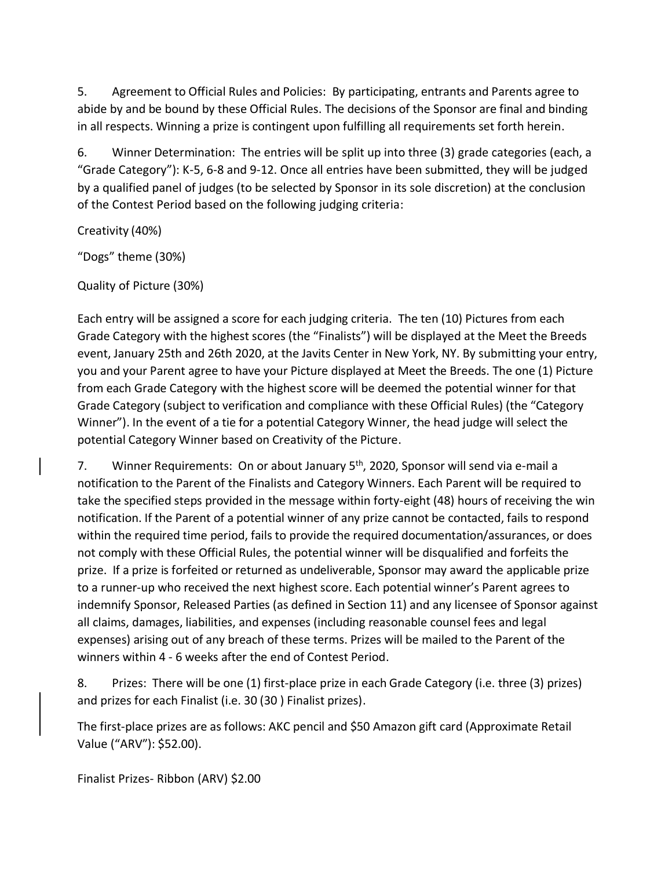5. Agreement to Official Rules and Policies: By participating, entrants and Parents agree to abide by and be bound by these Official Rules. The decisions of the Sponsor are final and binding in all respects. Winning a prize is contingent upon fulfilling all requirements set forth herein.

6. Winner Determination: The entries will be split up into three (3) grade categories (each, a "Grade Category"): K-5, 6-8 and 9-12. Once all entries have been submitted, they will be judged by a qualified panel of judges (to be selected by Sponsor in its sole discretion) at the conclusion of the Contest Period based on the following judging criteria:

Creativity (40%)

"Dogs" theme (30%)

Quality of Picture (30%)

Each entry will be assigned a score for each judging criteria. The ten (10) Pictures from each Grade Category with the highest scores (the "Finalists") will be displayed at the Meet the Breeds event, January 25th and 26th 2020, at the Javits Center in New York, NY. By submitting your entry, you and your Parent agree to have your Picture displayed at Meet the Breeds. The one (1) Picture from each Grade Category with the highest score will be deemed the potential winner for that Grade Category (subject to verification and compliance with these Official Rules) (the "Category Winner"). In the event of a tie for a potential Category Winner, the head judge will select the potential Category Winner based on Creativity of the Picture.

7. Winner Requirements: On or about January 5<sup>th</sup>, 2020, Sponsor will send via e-mail a notification to the Parent of the Finalists and Category Winners. Each Parent will be required to take the specified steps provided in the message within forty-eight (48) hours of receiving the win notification. If the Parent of a potential winner of any prize cannot be contacted, fails to respond within the required time period, fails to provide the required documentation/assurances, or does not comply with these Official Rules, the potential winner will be disqualified and forfeits the prize. If a prize is forfeited or returned as undeliverable, Sponsor may award the applicable prize to a runner-up who received the next highest score. Each potential winner's Parent agrees to indemnify Sponsor, Released Parties (as defined in Section 11) and any licensee of Sponsor against all claims, damages, liabilities, and expenses (including reasonable counsel fees and legal expenses) arising out of any breach of these terms. Prizes will be mailed to the Parent of the winners within 4 - 6 weeks after the end of Contest Period.

8. Prizes: There will be one (1) first-place prize in each Grade Category (i.e. three (3) prizes) and prizes for each Finalist (i.e. 30 (30 ) Finalist prizes).

The first-place prizes are as follows: AKC pencil and \$50 Amazon gift card (Approximate Retail Value ("ARV"): \$52.00).

Finalist Prizes- Ribbon (ARV) \$2.00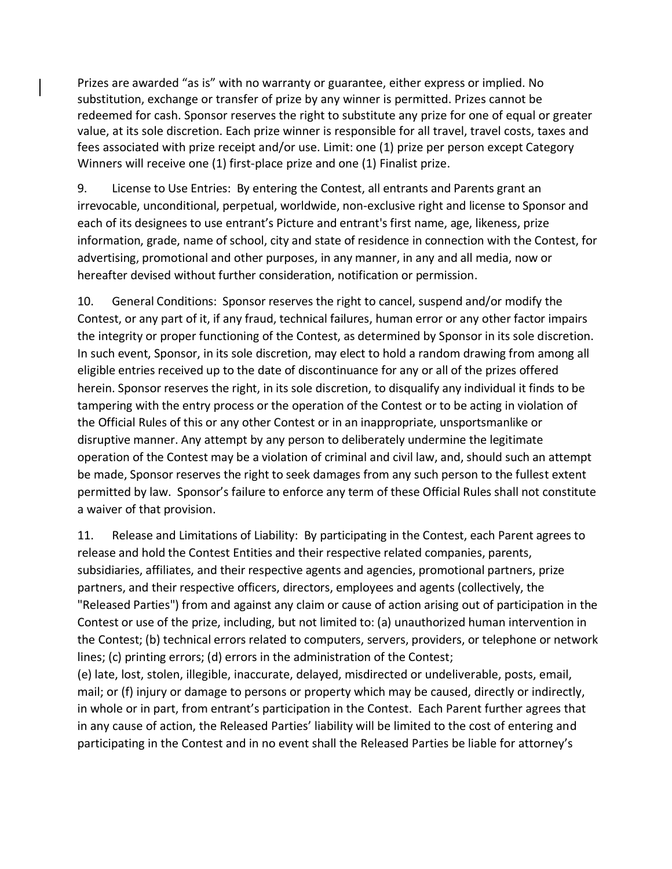Prizes are awarded "as is" with no warranty or guarantee, either express or implied. No substitution, exchange or transfer of prize by any winner is permitted. Prizes cannot be redeemed for cash. Sponsor reserves the right to substitute any prize for one of equal or greater value, at its sole discretion. Each prize winner is responsible for all travel, travel costs, taxes and fees associated with prize receipt and/or use. Limit: one (1) prize per person except Category Winners will receive one (1) first-place prize and one (1) Finalist prize.

9. License to Use Entries: By entering the Contest, all entrants and Parents grant an irrevocable, unconditional, perpetual, worldwide, non-exclusive right and license to Sponsor and each of its designees to use entrant's Picture and entrant's first name, age, likeness, prize information, grade, name of school, city and state of residence in connection with the Contest, for advertising, promotional and other purposes, in any manner, in any and all media, now or hereafter devised without further consideration, notification or permission.

10. General Conditions: Sponsor reserves the right to cancel, suspend and/or modify the Contest, or any part of it, if any fraud, technical failures, human error or any other factor impairs the integrity or proper functioning of the Contest, as determined by Sponsor in its sole discretion. In such event, Sponsor, in its sole discretion, may elect to hold a random drawing from among all eligible entries received up to the date of discontinuance for any or all of the prizes offered herein. Sponsor reserves the right, in its sole discretion, to disqualify any individual it finds to be tampering with the entry process or the operation of the Contest or to be acting in violation of the Official Rules of this or any other Contest or in an inappropriate, unsportsmanlike or disruptive manner. Any attempt by any person to deliberately undermine the legitimate operation of the Contest may be a violation of criminal and civil law, and, should such an attempt be made, Sponsor reserves the right to seek damages from any such person to the fullest extent permitted by law. Sponsor's failure to enforce any term of these Official Rules shall not constitute a waiver of that provision.

11. Release and Limitations of Liability: By participating in the Contest, each Parent agrees to release and hold the Contest Entities and their respective related companies, parents, subsidiaries, affiliates, and their respective agents and agencies, promotional partners, prize partners, and their respective officers, directors, employees and agents (collectively, the "Released Parties") from and against any claim or cause of action arising out of participation in the Contest or use of the prize, including, but not limited to: (a) unauthorized human intervention in the Contest; (b) technical errors related to computers, servers, providers, or telephone or network lines; (c) printing errors; (d) errors in the administration of the Contest;

(e) late, lost, stolen, illegible, inaccurate, delayed, misdirected or undeliverable, posts, email, mail; or (f) injury or damage to persons or property which may be caused, directly or indirectly, in whole or in part, from entrant's participation in the Contest. Each Parent further agrees that in any cause of action, the Released Parties' liability will be limited to the cost of entering and participating in the Contest and in no event shall the Released Parties be liable for attorney's